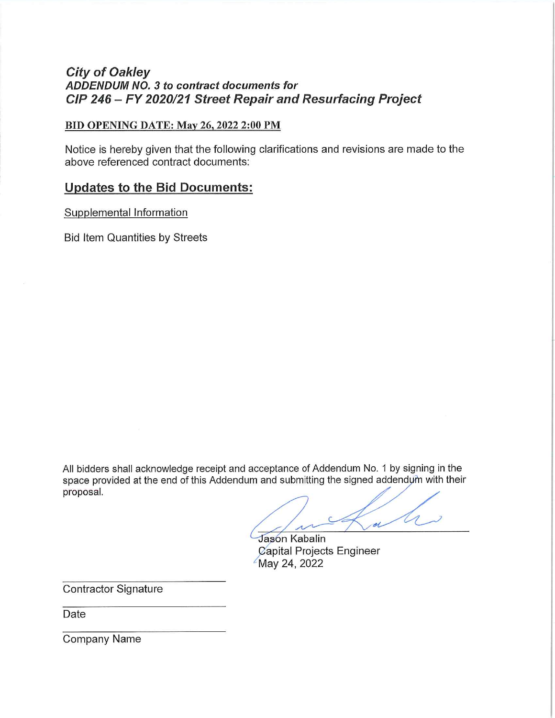# **City of Oakley** ADDENDUM NO. 3 to contract documents for CIP 246 - FY 2020/21 Street Repair and Resurfacing Project

## **BID OPENING DATE: May 26, 2022 2:00 PM**

Notice is hereby given that the following clarifications and revisions are made to the above referenced contract documents:

## **Updates to the Bid Documents:**

Supplemental Information

**Bid Item Quantities by Streets** 

All bidders shall acknowledge receipt and acceptance of Addendum No. 1 by signing in the space provided at the end of this Addendum and submitting the signed addendum with their proposal.

 $\overline{\mathcal{A}}$ 

Jason Kabalin Capital Projects Engineer May 24, 2022

Contractor Signature

Date

**Company Name**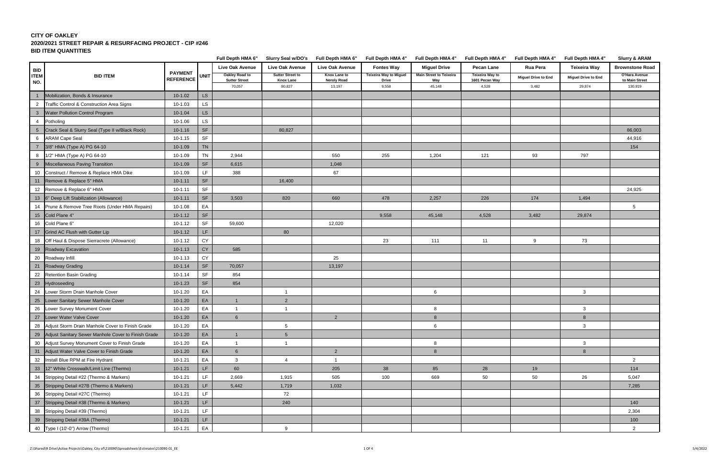### **CITY OF OAKLEY 2020/2021 STREET REPAIR & RESURFACING PROJECT - CIP #246 BID ITEM QUANTITIES**

|                 |                                                        |                                    |             | Full Depth HMA 6"                      | <b>Slurry Seal w/DO's</b>                   | Full Depth HMA 6"                  | Full Depth HMA 4"                             | Full Depth HMA 4"                     | <b>Full Depth HMA 4"</b>                 | Full Depth HMA 4"          | Full Depth HMA 4"          | <b>Slurry &amp; ARAM</b>        |
|-----------------|--------------------------------------------------------|------------------------------------|-------------|----------------------------------------|---------------------------------------------|------------------------------------|-----------------------------------------------|---------------------------------------|------------------------------------------|----------------------------|----------------------------|---------------------------------|
| <b>BID</b>      |                                                        |                                    |             | <b>Live Oak Avenue</b>                 | <b>Live Oak Avenue</b>                      | <b>Live Oak Avenue</b>             | <b>Fontes Way</b>                             | <b>Miguel Drive</b>                   | <b>Pecan Lane</b>                        | Rua Pera                   | <b>Teixeira Way</b>        | <b>Brownstone Road</b>          |
| <b>ITEM</b>     | <b>BID ITEM</b>                                        | <b>PAYMENT</b><br><b>REFERENCE</b> | <b>UNIT</b> | Oakley Road to<br><b>Sutter Street</b> | <b>Sutter Street to</b><br><b>Knox Lane</b> | Knox Lane to<br><b>Neroly Road</b> | <b>Teixeira Way to Miguel</b><br><b>Drive</b> | <b>Main Street to Teixeira</b><br>Way | <b>Teixeira Way to</b><br>1601 Pecan Way | <b>Miguel Drive to End</b> | <b>Miguel Drive to End</b> | O'Hara Avenue<br>to Main Street |
| NO.             |                                                        |                                    |             | 70,057                                 | 80,827                                      | 13,197                             | 9,558                                         | 45,148                                | 4,528                                    | 3,482                      | 29,874                     | 130,919                         |
|                 | Mobilization, Bonds & Insurance                        | $10-1.02$                          | LS          |                                        |                                             |                                    |                                               |                                       |                                          |                            |                            |                                 |
| $\overline{2}$  | Traffic Control & Construction Area Signs              | 10-1.03                            | <b>LS</b>   |                                        |                                             |                                    |                                               |                                       |                                          |                            |                            |                                 |
| $\mathbf{3}$    | <b>Water Pollution Control Program</b>                 | 10-1.04                            | LS.         |                                        |                                             |                                    |                                               |                                       |                                          |                            |                            |                                 |
| $\overline{4}$  | Potholing                                              | 10-1.06                            | LS.         |                                        |                                             |                                    |                                               |                                       |                                          |                            |                            |                                 |
| $5\overline{)}$ | Crack Seal & Slurry Seal (Type II w/Black Rock)        | 10-1.16                            | SF          |                                        | 80,827                                      |                                    |                                               |                                       |                                          |                            |                            | 86,003                          |
| 6               | <b>ARAM Cape Seal</b>                                  | 10-1.15                            | SF          |                                        |                                             |                                    |                                               |                                       |                                          |                            |                            | 44,916                          |
|                 | 3/8" HMA (Type A) PG 64-10                             | 10-1.09                            | <b>TN</b>   |                                        |                                             |                                    |                                               |                                       |                                          |                            |                            | 154                             |
| 8               | 1/2" HMA (Type A) PG 64-10                             | 10-1.09                            | TN          | 2,944                                  |                                             | 550                                | 255                                           | 1,204                                 | 121                                      | 93                         | 797                        |                                 |
| 9               | Miscellaneous Paving Transition                        | 10-1.09                            | SF          | 6,615                                  |                                             | 1,048                              |                                               |                                       |                                          |                            |                            |                                 |
|                 | 10 Construct / Remove & Replace HMA Dike               | 10-1.09                            | LF          | 388                                    |                                             | 67                                 |                                               |                                       |                                          |                            |                            |                                 |
| 11              | Remove & Replace 5" HMA                                | $10 - 1.11$                        | SF          |                                        | 16,400                                      |                                    |                                               |                                       |                                          |                            |                            |                                 |
|                 | 12 Remove & Replace 6" HMA                             | $10 - 1.11$                        | SF          |                                        |                                             |                                    |                                               |                                       |                                          |                            |                            | 24,925                          |
|                 | 13 6" Deep Lift Stabilization (Allowance)              | $10 - 1.11$                        | <b>SF</b>   | 3,503                                  | 820                                         | 660                                | 478                                           | 2,257                                 | 226                                      | 174                        | 1,494                      |                                 |
|                 | 14 Prune & Remove Tree Roots (Under HMA Repairs)       | 10-1.08                            | EA          |                                        |                                             |                                    |                                               |                                       |                                          |                            |                            | 5                               |
|                 | 15 Cold Plane 4"                                       | $10 - 1.12$                        | SF          |                                        |                                             |                                    | 9,558                                         | 45,148                                | 4,528                                    | 3,482                      | 29,874                     |                                 |
|                 | 16 Cold Plane 6"                                       | 10-1.12                            | SF          | 59,600                                 |                                             | 12,020                             |                                               |                                       |                                          |                            |                            |                                 |
| 17              | Grind AC Flush with Gutter Lip                         | $10 - 1.12$                        | LF.         |                                        | 80                                          |                                    |                                               |                                       |                                          |                            |                            |                                 |
| 18              | Off Haul & Dispose Sierracrete (Allowance)             | 10-1.12                            | CY          |                                        |                                             |                                    | 23                                            | 111                                   | 11                                       | 9                          | 73                         |                                 |
|                 | 19 Roadway Excavation                                  | $10 - 1.13$                        | CY          | 585                                    |                                             |                                    |                                               |                                       |                                          |                            |                            |                                 |
| 20              | Roadway Infill                                         | 10-1.13                            | СY          |                                        |                                             | 25                                 |                                               |                                       |                                          |                            |                            |                                 |
| 21              | Roadway Grading                                        | $10 - 1.14$                        | <b>SF</b>   | 70,057                                 |                                             | 13,197                             |                                               |                                       |                                          |                            |                            |                                 |
| 22              | <b>Retention Basin Grading</b>                         | 10-1.14                            | SF          | 854                                    |                                             |                                    |                                               |                                       |                                          |                            |                            |                                 |
| 23              | Hydroseeding                                           | 10-1.23                            | <b>SF</b>   | 854                                    |                                             |                                    |                                               |                                       |                                          |                            |                            |                                 |
| 24              | Lower Storm Drain Manhole Cover                        | 10-1.20                            | EA          |                                        | $\overline{1}$                              |                                    |                                               | 6                                     |                                          |                            | $\mathbf{3}$               |                                 |
| 25              | Lower Sanitary Sewer Manhole Cover                     | $10-1.20$                          | EA          | $\mathbf 1$                            | $\overline{2}$                              |                                    |                                               |                                       |                                          |                            |                            |                                 |
| 26              | Lower Survey Monument Cover                            | 10-1.20                            | EA          |                                        | $\overline{\mathbf{1}}$                     |                                    |                                               | 8                                     |                                          |                            | 3                          |                                 |
|                 | 27 Lower Water Valve Cover                             | $10-1.20$                          | EA          | 6                                      |                                             | $\overline{2}$                     |                                               | 8                                     |                                          |                            | 8                          |                                 |
| 28              | Adjust Storm Drain Manhole Cover to Finish Grade       | 10-1.20                            | EA          |                                        | $5\phantom{.0}$                             |                                    |                                               | 6                                     |                                          |                            | $\mathbf{3}$               |                                 |
|                 | 29 Adjust Sanitary Sewer Manhole Cover to Finish Grade | $10-1.20$                          | EA          | $\overline{1}$                         | $5\phantom{.0}$                             |                                    |                                               |                                       |                                          |                            |                            |                                 |
| 30              | Adjust Survey Monument Cover to Finish Grade           | 10-1.20                            | EA          | $\overline{1}$                         | $\overline{1}$                              |                                    |                                               | 8                                     |                                          |                            | $\mathbf{3}$               |                                 |
| 31              | Adjust Water Valve Cover to Finish Grade               | $10-1.20$                          | EA          | $6\phantom{1}6$                        |                                             | $\overline{2}$                     |                                               | $8\phantom{1}$                        |                                          |                            | 8                          |                                 |
| 32              | Install Blue RPM at Fire Hydrant                       | $10 - 1.21$                        | EA          | $\mathbf{3}$                           | $\overline{4}$                              |                                    |                                               |                                       |                                          |                            |                            | 2                               |
| 33              | 12" White Crosswalk/Limit Line (Thermo)                | $10 - 1.21$                        | LF.         | 60                                     |                                             | 205                                | 38                                            | 85                                    | 28                                       | 19                         |                            | 114                             |
| 34              | Stripping Detail #22 (Thermo & Markers)                | 10-1.21                            | LF          | 2,669                                  | 1,915                                       | 505                                | 100                                           | 669                                   | 50                                       | 50                         | 26                         | 5,047                           |
| 35              | Stripping Detail #27B (Thermo & Markers)               | $10 - 1.21$                        | LF.         | 5,442                                  | 1,719                                       | 1,032                              |                                               |                                       |                                          |                            |                            | 7,285                           |
| 36              | Stripping Detail #27C (Thermo)                         | $10 - 1.21$                        | LF.         |                                        | 72                                          |                                    |                                               |                                       |                                          |                            |                            |                                 |
| 37              | Stripping Detail #38 (Thermo & Markers)                | $10 - 1.21$                        | LF.         |                                        | 240                                         |                                    |                                               |                                       |                                          |                            |                            | 140                             |
| 38              | Stripping Detail #39 (Thermo)                          | $10 - 1.21$                        | LF.         |                                        |                                             |                                    |                                               |                                       |                                          |                            |                            | 2,304                           |
| 39              | Stripping Detail #39A (Thermo)                         | $10 - 1.21$                        | LF.         |                                        |                                             |                                    |                                               |                                       |                                          |                            |                            | 100                             |
|                 | 40 Type I (10'-0") Arrow (Thermo)                      | 10-1.21                            | EA          |                                        | 9                                           |                                    |                                               |                                       |                                          |                            |                            | $\overline{2}$                  |